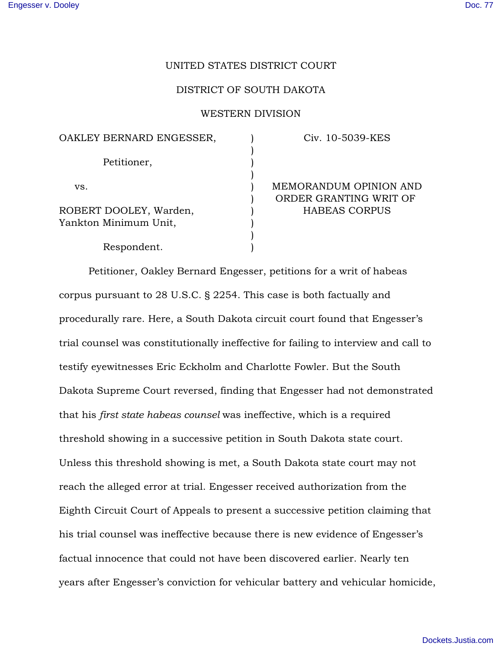# UNITED STATES DISTRICT COURT

## DISTRICT OF SOUTH DAKOTA

#### WESTERN DIVISION

) ) ) ) ) ) ) ) ) )

OAKLEY BERNARD ENGESSER, Petitioner, vs. ROBERT DOOLEY, Warden, Yankton Minimum Unit,

Respondent.

Civ. 10-5039-KES

MEMORANDUM OPINION AND ORDER GRANTING WRIT OF HABEAS CORPUS

Petitioner, Oakley Bernard Engesser, petitions for a writ of habeas corpus pursuant to 28 U.S.C. § 2254. This case is both factually and procedurally rare. Here, a South Dakota circuit court found that Engesser's trial counsel was constitutionally ineffective for failing to interview and call to testify eyewitnesses Eric Eckholm and Charlotte Fowler. But the South Dakota Supreme Court reversed, finding that Engesser had not demonstrated that his *first state habeas counsel* was ineffective, which is a required threshold showing in a successive petition in South Dakota state court. Unless this threshold showing is met, a South Dakota state court may not reach the alleged error at trial. Engesser received authorization from the Eighth Circuit Court of Appeals to present a successive petition claiming that his trial counsel was ineffective because there is new evidence of Engesser's factual innocence that could not have been discovered earlier. Nearly ten years after Engesser's conviction for vehicular battery and vehicular homicide,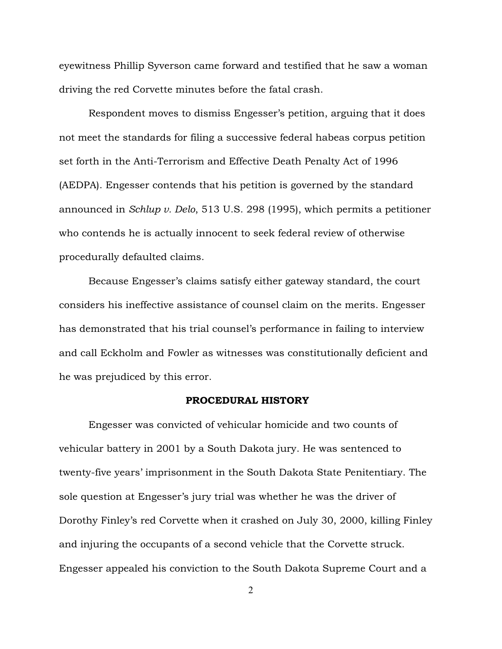eyewitness Phillip Syverson came forward and testified that he saw a woman driving the red Corvette minutes before the fatal crash.

Respondent moves to dismiss Engesser's petition, arguing that it does not meet the standards for filing a successive federal habeas corpus petition set forth in the Anti-Terrorism and Effective Death Penalty Act of 1996 (AEDPA). Engesser contends that his petition is governed by the standard announced in *Schlup v. Delo*, 513 U.S. 298 (1995), which permits a petitioner who contends he is actually innocent to seek federal review of otherwise procedurally defaulted claims.

Because Engesser's claims satisfy either gateway standard, the court considers his ineffective assistance of counsel claim on the merits. Engesser has demonstrated that his trial counsel's performance in failing to interview and call Eckholm and Fowler as witnesses was constitutionally deficient and he was prejudiced by this error.

#### PROCEDURAL HISTORY

Engesser was convicted of vehicular homicide and two counts of vehicular battery in 2001 by a South Dakota jury. He was sentenced to twenty-five years' imprisonment in the South Dakota State Penitentiary. The sole question at Engesser's jury trial was whether he was the driver of Dorothy Finley's red Corvette when it crashed on July 30, 2000, killing Finley and injuring the occupants of a second vehicle that the Corvette struck. Engesser appealed his conviction to the South Dakota Supreme Court and a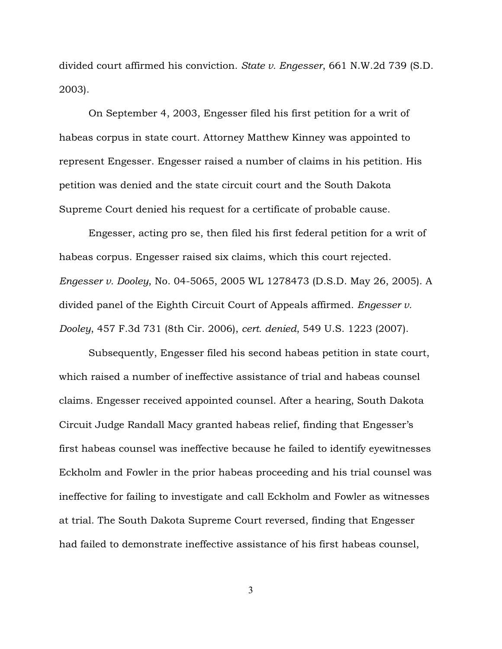divided court affirmed his conviction. *State v. Engesser*, 661 N.W.2d 739 (S.D. 2003).

On September 4, 2003, Engesser filed his first petition for a writ of habeas corpus in state court. Attorney Matthew Kinney was appointed to represent Engesser. Engesser raised a number of claims in his petition. His petition was denied and the state circuit court and the South Dakota Supreme Court denied his request for a certificate of probable cause.

Engesser, acting pro se, then filed his first federal petition for a writ of habeas corpus. Engesser raised six claims, which this court rejected. *Engesser v. Dooley*, No. 04-5065, 2005 WL 1278473 (D.S.D. May 26, 2005). A divided panel of the Eighth Circuit Court of Appeals affirmed. *Engesser v. Dooley*, 457 F.3d 731 (8th Cir. 2006), *cert. denied*, 549 U.S. 1223 (2007).

Subsequently, Engesser filed his second habeas petition in state court, which raised a number of ineffective assistance of trial and habeas counsel claims. Engesser received appointed counsel. After a hearing, South Dakota Circuit Judge Randall Macy granted habeas relief, finding that Engesser's first habeas counsel was ineffective because he failed to identify eyewitnesses Eckholm and Fowler in the prior habeas proceeding and his trial counsel was ineffective for failing to investigate and call Eckholm and Fowler as witnesses at trial. The South Dakota Supreme Court reversed, finding that Engesser had failed to demonstrate ineffective assistance of his first habeas counsel,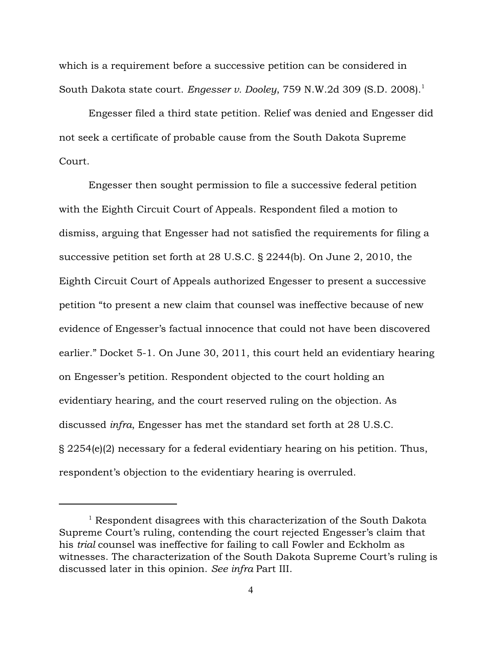which is a requirement before a successive petition can be considered in South Dakota state court. *Engesser v. Dooley*, 759 N.W.2d 309 (S.D. 2008).<sup>1</sup>

Engesser filed a third state petition. Relief was denied and Engesser did not seek a certificate of probable cause from the South Dakota Supreme Court.

Engesser then sought permission to file a successive federal petition with the Eighth Circuit Court of Appeals. Respondent filed a motion to dismiss, arguing that Engesser had not satisfied the requirements for filing a successive petition set forth at 28 U.S.C. § 2244(b). On June 2, 2010, the Eighth Circuit Court of Appeals authorized Engesser to present a successive petition "to present a new claim that counsel was ineffective because of new evidence of Engesser's factual innocence that could not have been discovered earlier." Docket 5-1. On June 30, 2011, this court held an evidentiary hearing on Engesser's petition. Respondent objected to the court holding an evidentiary hearing, and the court reserved ruling on the objection. As discussed *infra*, Engesser has met the standard set forth at 28 U.S.C. § 2254(e)(2) necessary for a federal evidentiary hearing on his petition. Thus, respondent's objection to the evidentiary hearing is overruled.

 $1$  Respondent disagrees with this characterization of the South Dakota Supreme Court's ruling, contending the court rejected Engesser's claim that his *trial* counsel was ineffective for failing to call Fowler and Eckholm as witnesses. The characterization of the South Dakota Supreme Court's ruling is discussed later in this opinion. *See infra* Part III.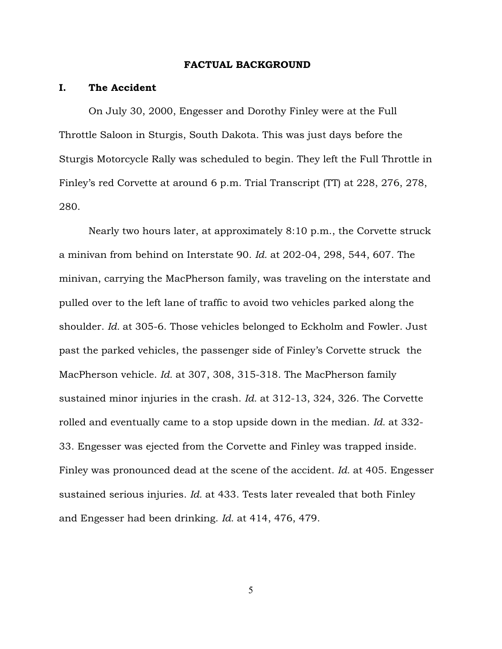#### FACTUAL BACKGROUND

# I. The Accident

On July 30, 2000, Engesser and Dorothy Finley were at the Full Throttle Saloon in Sturgis, South Dakota. This was just days before the Sturgis Motorcycle Rally was scheduled to begin. They left the Full Throttle in Finley's red Corvette at around 6 p.m. Trial Transcript (TT) at 228, 276, 278, 280.

Nearly two hours later, at approximately 8:10 p.m., the Corvette struck a minivan from behind on Interstate 90. *Id.* at 202-04, 298, 544, 607. The minivan, carrying the MacPherson family, was traveling on the interstate and pulled over to the left lane of traffic to avoid two vehicles parked along the shoulder. *Id.* at 305-6. Those vehicles belonged to Eckholm and Fowler. Just past the parked vehicles, the passenger side of Finley's Corvette struck the MacPherson vehicle. *Id.* at 307, 308, 315-318. The MacPherson family sustained minor injuries in the crash. *Id.* at 312-13, 324, 326. The Corvette rolled and eventually came to a stop upside down in the median. *Id.* at 332- 33. Engesser was ejected from the Corvette and Finley was trapped inside. Finley was pronounced dead at the scene of the accident. *Id.* at 405. Engesser sustained serious injuries. *Id.* at 433. Tests later revealed that both Finley and Engesser had been drinking. *Id.* at 414, 476, 479.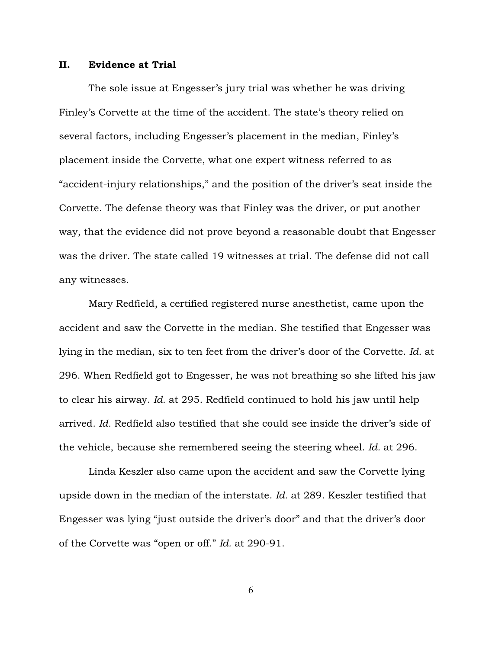# II. Evidence at Trial

The sole issue at Engesser's jury trial was whether he was driving Finley's Corvette at the time of the accident. The state's theory relied on several factors, including Engesser's placement in the median, Finley's placement inside the Corvette, what one expert witness referred to as "accident-injury relationships," and the position of the driver's seat inside the Corvette. The defense theory was that Finley was the driver, or put another way, that the evidence did not prove beyond a reasonable doubt that Engesser was the driver. The state called 19 witnesses at trial. The defense did not call any witnesses.

Mary Redfield, a certified registered nurse anesthetist, came upon the accident and saw the Corvette in the median. She testified that Engesser was lying in the median, six to ten feet from the driver's door of the Corvette. *Id.* at 296. When Redfield got to Engesser, he was not breathing so she lifted his jaw to clear his airway. *Id.* at 295. Redfield continued to hold his jaw until help arrived. *Id.* Redfield also testified that she could see inside the driver's side of the vehicle, because she remembered seeing the steering wheel. *Id.* at 296.

Linda Keszler also came upon the accident and saw the Corvette lying upside down in the median of the interstate. *Id.* at 289. Keszler testified that Engesser was lying "just outside the driver's door" and that the driver's door of the Corvette was "open or off." *Id.* at 290-91.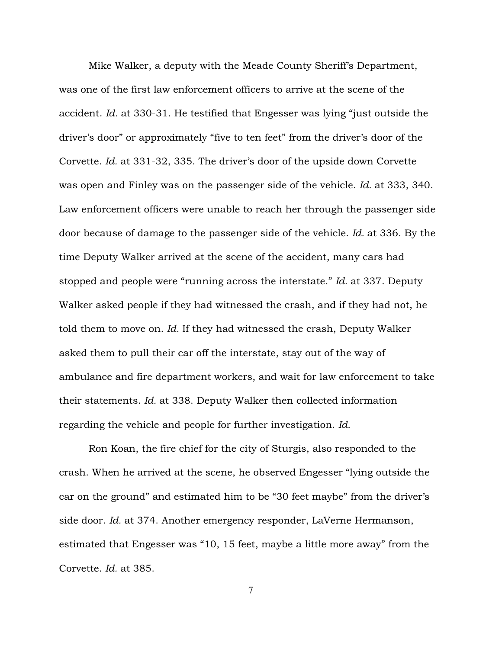Mike Walker, a deputy with the Meade County Sheriff's Department, was one of the first law enforcement officers to arrive at the scene of the accident. *Id.* at 330-31. He testified that Engesser was lying "just outside the driver's door" or approximately "five to ten feet" from the driver's door of the Corvette. *Id.* at 331-32, 335. The driver's door of the upside down Corvette was open and Finley was on the passenger side of the vehicle. *Id.* at 333, 340. Law enforcement officers were unable to reach her through the passenger side door because of damage to the passenger side of the vehicle. *Id.* at 336. By the time Deputy Walker arrived at the scene of the accident, many cars had stopped and people were "running across the interstate." *Id.* at 337. Deputy Walker asked people if they had witnessed the crash, and if they had not, he told them to move on. *Id.* If they had witnessed the crash, Deputy Walker asked them to pull their car off the interstate, stay out of the way of ambulance and fire department workers, and wait for law enforcement to take their statements. *Id.* at 338. Deputy Walker then collected information regarding the vehicle and people for further investigation. *Id.* 

Ron Koan, the fire chief for the city of Sturgis, also responded to the crash. When he arrived at the scene, he observed Engesser "lying outside the car on the ground" and estimated him to be "30 feet maybe" from the driver's side door. *Id.* at 374. Another emergency responder, LaVerne Hermanson, estimated that Engesser was "10, 15 feet, maybe a little more away" from the Corvette. *Id.* at 385.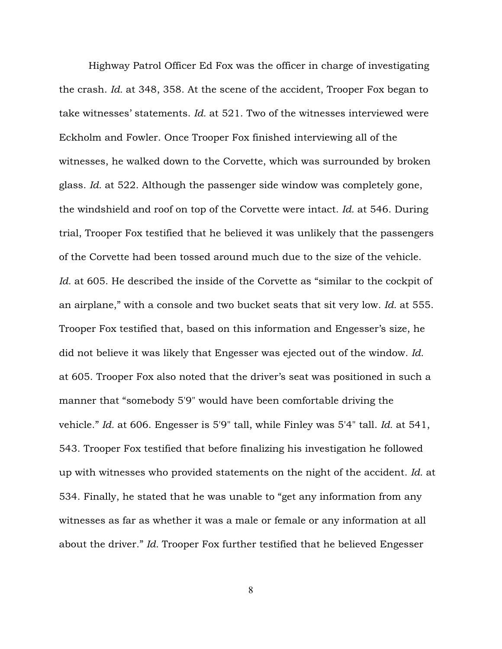Highway Patrol Officer Ed Fox was the officer in charge of investigating the crash. *Id.* at 348, 358. At the scene of the accident, Trooper Fox began to take witnesses' statements. *Id.* at 521. Two of the witnesses interviewed were Eckholm and Fowler. Once Trooper Fox finished interviewing all of the witnesses, he walked down to the Corvette, which was surrounded by broken glass. *Id.* at 522. Although the passenger side window was completely gone, the windshield and roof on top of the Corvette were intact. *Id.* at 546. During trial, Trooper Fox testified that he believed it was unlikely that the passengers of the Corvette had been tossed around much due to the size of the vehicle. *Id.* at 605. He described the inside of the Corvette as "similar to the cockpit of an airplane," with a console and two bucket seats that sit very low. *Id.* at 555. Trooper Fox testified that, based on this information and Engesser's size, he did not believe it was likely that Engesser was ejected out of the window. *Id.* at 605. Trooper Fox also noted that the driver's seat was positioned in such a manner that "somebody 5'9" would have been comfortable driving the vehicle." *Id.* at 606. Engesser is 5'9" tall, while Finley was 5'4" tall. *Id.* at 541, 543. Trooper Fox testified that before finalizing his investigation he followed up with witnesses who provided statements on the night of the accident. *Id.* at 534. Finally, he stated that he was unable to "get any information from any witnesses as far as whether it was a male or female or any information at all about the driver." *Id.* Trooper Fox further testified that he believed Engesser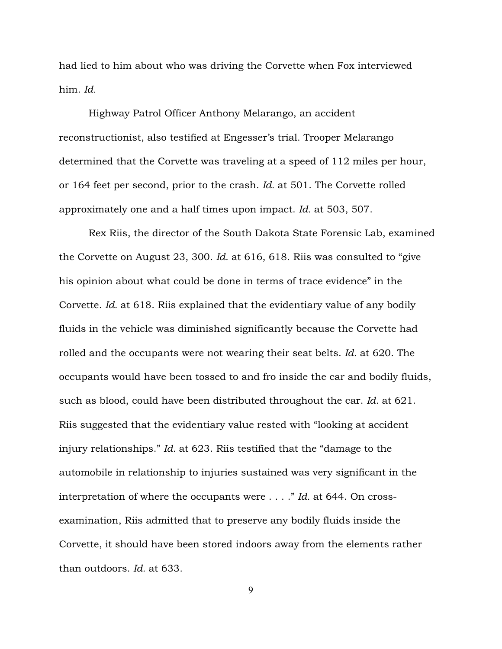had lied to him about who was driving the Corvette when Fox interviewed him. *Id.*

Highway Patrol Officer Anthony Melarango, an accident reconstructionist, also testified at Engesser's trial. Trooper Melarango determined that the Corvette was traveling at a speed of 112 miles per hour, or 164 feet per second, prior to the crash. *Id.* at 501. The Corvette rolled approximately one and a half times upon impact. *Id.* at 503, 507.

Rex Riis, the director of the South Dakota State Forensic Lab, examined the Corvette on August 23, 300. *Id.* at 616, 618. Riis was consulted to "give his opinion about what could be done in terms of trace evidence" in the Corvette. *Id.* at 618. Riis explained that the evidentiary value of any bodily fluids in the vehicle was diminished significantly because the Corvette had rolled and the occupants were not wearing their seat belts. *Id.* at 620. The occupants would have been tossed to and fro inside the car and bodily fluids, such as blood, could have been distributed throughout the car. *Id.* at 621. Riis suggested that the evidentiary value rested with "looking at accident injury relationships." *Id.* at 623. Riis testified that the "damage to the automobile in relationship to injuries sustained was very significant in the interpretation of where the occupants were . . . ." *Id.* at 644. On crossexamination, Riis admitted that to preserve any bodily fluids inside the Corvette, it should have been stored indoors away from the elements rather than outdoors. *Id.* at 633.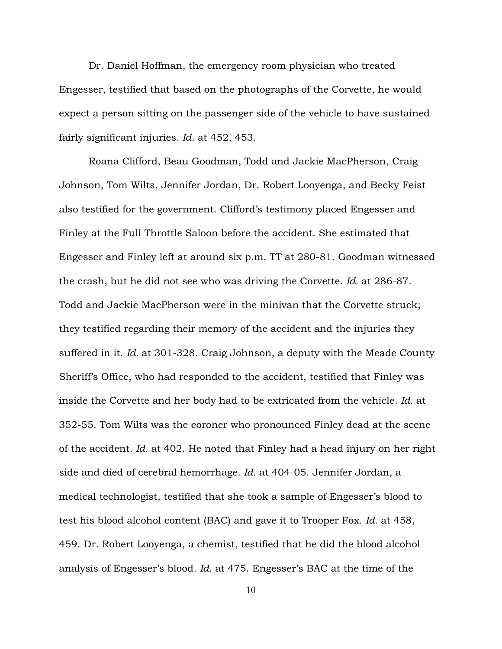Dr. Daniel Hoffman, the emergency room physician who treated Engesser, testified that based on the photographs of the Corvette, he would expect a person sitting on the passenger side of the vehicle to have sustained fairly significant injuries. *Id.* at 452, 453.

Roana Clifford, Beau Goodman, Todd and Jackie MacPherson, Craig Johnson, Tom Wilts, Jennifer Jordan, Dr. Robert Looyenga, and Becky Feist also testified for the government. Clifford's testimony placed Engesser and Finley at the Full Throttle Saloon before the accident. She estimated that Engesser and Finley left at around six p.m. TT at 280-81. Goodman witnessed the crash, but he did not see who was driving the Corvette. *Id.* at 286-87. Todd and Jackie MacPherson were in the minivan that the Corvette struck; they testified regarding their memory of the accident and the injuries they suffered in it. *Id.* at 301-328. Craig Johnson, a deputy with the Meade County Sheriff's Office, who had responded to the accident, testified that Finley was inside the Corvette and her body had to be extricated from the vehicle. *Id.* at 352-55. Tom Wilts was the coroner who pronounced Finley dead at the scene of the accident. *Id.* at 402. He noted that Finley had a head injury on her right side and died of cerebral hemorrhage. *Id.* at 404-05. Jennifer Jordan, a medical technologist, testified that she took a sample of Engesser's blood to test his blood alcohol content (BAC) and gave it to Trooper Fox. *Id.* at 458, 459. Dr. Robert Looyenga, a chemist, testified that he did the blood alcohol analysis of Engesser's blood. *Id.* at 475. Engesser's BAC at the time of the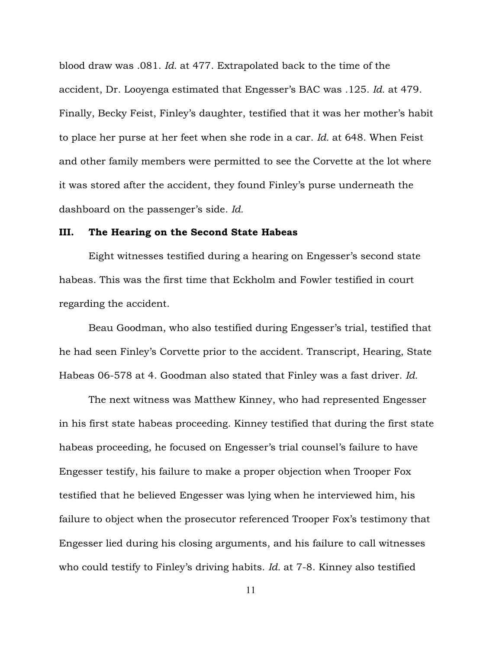blood draw was .081. *Id.* at 477. Extrapolated back to the time of the accident, Dr. Looyenga estimated that Engesser's BAC was .125. *Id.* at 479. Finally, Becky Feist, Finley's daughter, testified that it was her mother's habit to place her purse at her feet when she rode in a car. *Id.* at 648. When Feist and other family members were permitted to see the Corvette at the lot where it was stored after the accident, they found Finley's purse underneath the dashboard on the passenger's side. *Id.*

## III. The Hearing on the Second State Habeas

Eight witnesses testified during a hearing on Engesser's second state habeas. This was the first time that Eckholm and Fowler testified in court regarding the accident.

Beau Goodman, who also testified during Engesser's trial, testified that he had seen Finley's Corvette prior to the accident. Transcript, Hearing, State Habeas 06-578 at 4. Goodman also stated that Finley was a fast driver. *Id.*

The next witness was Matthew Kinney, who had represented Engesser in his first state habeas proceeding. Kinney testified that during the first state habeas proceeding, he focused on Engesser's trial counsel's failure to have Engesser testify, his failure to make a proper objection when Trooper Fox testified that he believed Engesser was lying when he interviewed him, his failure to object when the prosecutor referenced Trooper Fox's testimony that Engesser lied during his closing arguments, and his failure to call witnesses who could testify to Finley's driving habits. *Id.* at 7-8. Kinney also testified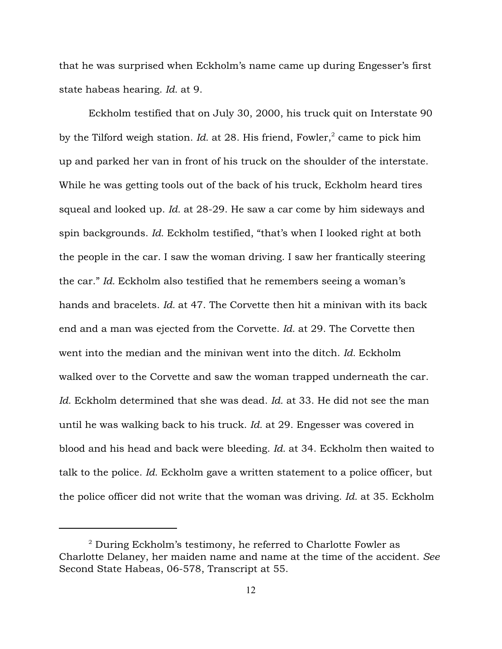that he was surprised when Eckholm's name came up during Engesser's first state habeas hearing. *Id.* at 9.

Eckholm testified that on July 30, 2000, his truck quit on Interstate 90 by the Tilford weigh station. *Id.* at 28. His friend, Fowler,<sup>2</sup> came to pick him up and parked her van in front of his truck on the shoulder of the interstate. While he was getting tools out of the back of his truck, Eckholm heard tires squeal and looked up. *Id.* at 28-29. He saw a car come by him sideways and spin backgrounds. *Id.* Eckholm testified, "that's when I looked right at both the people in the car. I saw the woman driving. I saw her frantically steering the car." *Id.* Eckholm also testified that he remembers seeing a woman's hands and bracelets. *Id.* at 47. The Corvette then hit a minivan with its back end and a man was ejected from the Corvette. *Id.* at 29. The Corvette then went into the median and the minivan went into the ditch. *Id.* Eckholm walked over to the Corvette and saw the woman trapped underneath the car. *Id.* Eckholm determined that she was dead. *Id.* at 33. He did not see the man until he was walking back to his truck. *Id.* at 29. Engesser was covered in blood and his head and back were bleeding. *Id.* at 34. Eckholm then waited to talk to the police. *Id.* Eckholm gave a written statement to a police officer, but the police officer did not write that the woman was driving. *Id.* at 35. Eckholm

 $2$  During Eckholm's testimony, he referred to Charlotte Fowler as Charlotte Delaney, her maiden name and name at the time of the accident. *See* Second State Habeas, 06-578, Transcript at 55.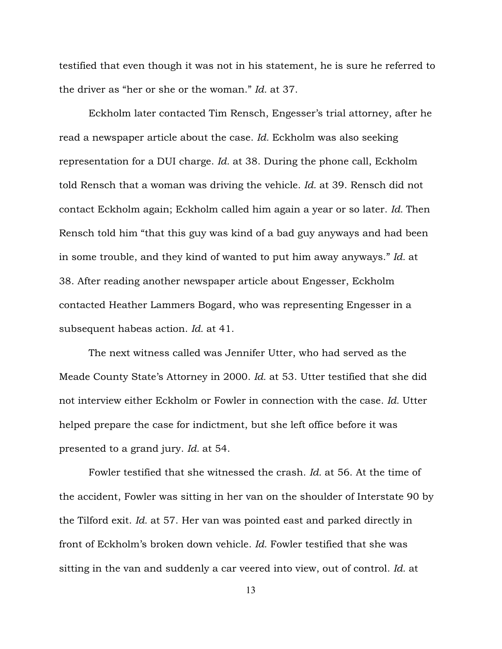testified that even though it was not in his statement, he is sure he referred to the driver as "her or she or the woman." *Id.* at 37.

Eckholm later contacted Tim Rensch, Engesser's trial attorney, after he read a newspaper article about the case. *Id.* Eckholm was also seeking representation for a DUI charge. *Id.* at 38. During the phone call, Eckholm told Rensch that a woman was driving the vehicle. *Id.* at 39. Rensch did not contact Eckholm again; Eckholm called him again a year or so later. *Id.* Then Rensch told him "that this guy was kind of a bad guy anyways and had been in some trouble, and they kind of wanted to put him away anyways." *Id.* at 38. After reading another newspaper article about Engesser, Eckholm contacted Heather Lammers Bogard, who was representing Engesser in a subsequent habeas action. *Id.* at 41.

The next witness called was Jennifer Utter, who had served as the Meade County State's Attorney in 2000. *Id.* at 53. Utter testified that she did not interview either Eckholm or Fowler in connection with the case. *Id.* Utter helped prepare the case for indictment, but she left office before it was presented to a grand jury. *Id.* at 54.

Fowler testified that she witnessed the crash. *Id.* at 56. At the time of the accident, Fowler was sitting in her van on the shoulder of Interstate 90 by the Tilford exit. *Id.* at 57. Her van was pointed east and parked directly in front of Eckholm's broken down vehicle. *Id.* Fowler testified that she was sitting in the van and suddenly a car veered into view, out of control. *Id.* at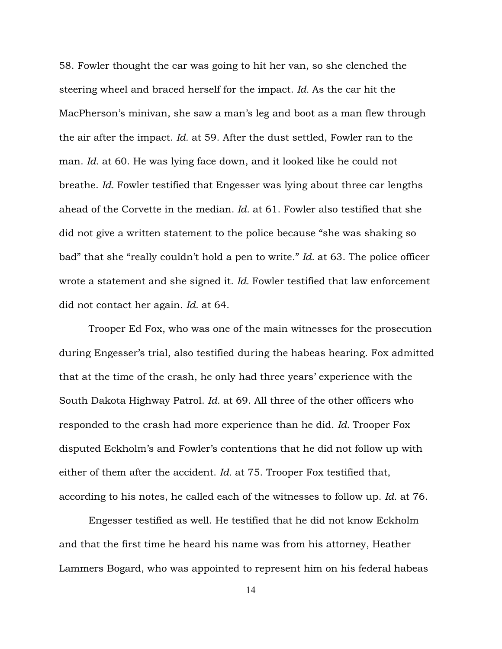58. Fowler thought the car was going to hit her van, so she clenched the steering wheel and braced herself for the impact. *Id.* As the car hit the MacPherson's minivan, she saw a man's leg and boot as a man flew through the air after the impact. *Id.* at 59. After the dust settled, Fowler ran to the man. *Id.* at 60. He was lying face down, and it looked like he could not breathe. *Id.* Fowler testified that Engesser was lying about three car lengths ahead of the Corvette in the median. *Id.* at 61. Fowler also testified that she did not give a written statement to the police because "she was shaking so bad" that she "really couldn't hold a pen to write." *Id.* at 63. The police officer wrote a statement and she signed it. *Id.* Fowler testified that law enforcement did not contact her again. *Id.* at 64.

Trooper Ed Fox, who was one of the main witnesses for the prosecution during Engesser's trial, also testified during the habeas hearing. Fox admitted that at the time of the crash, he only had three years' experience with the South Dakota Highway Patrol. *Id.* at 69. All three of the other officers who responded to the crash had more experience than he did. *Id.* Trooper Fox disputed Eckholm's and Fowler's contentions that he did not follow up with either of them after the accident. *Id.* at 75. Trooper Fox testified that, according to his notes, he called each of the witnesses to follow up. *Id.* at 76.

Engesser testified as well. He testified that he did not know Eckholm and that the first time he heard his name was from his attorney, Heather Lammers Bogard, who was appointed to represent him on his federal habeas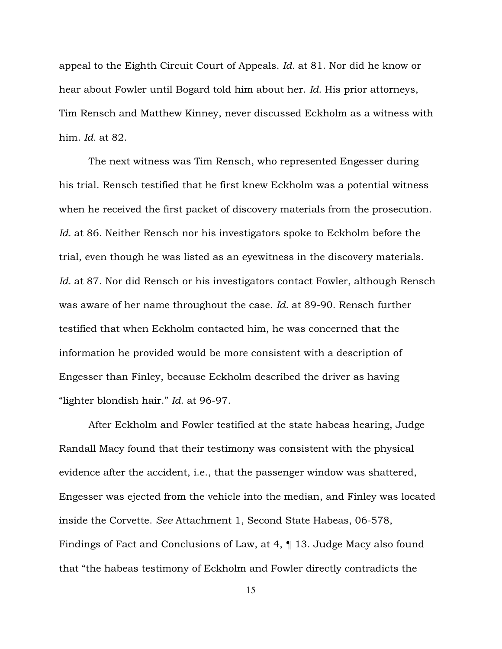appeal to the Eighth Circuit Court of Appeals. *Id.* at 81. Nor did he know or hear about Fowler until Bogard told him about her. *Id.* His prior attorneys, Tim Rensch and Matthew Kinney, never discussed Eckholm as a witness with him. *Id.* at 82.

The next witness was Tim Rensch, who represented Engesser during his trial. Rensch testified that he first knew Eckholm was a potential witness when he received the first packet of discovery materials from the prosecution. *Id.* at 86. Neither Rensch nor his investigators spoke to Eckholm before the trial, even though he was listed as an eyewitness in the discovery materials. *Id.* at 87. Nor did Rensch or his investigators contact Fowler, although Rensch was aware of her name throughout the case. *Id.* at 89-90. Rensch further testified that when Eckholm contacted him, he was concerned that the information he provided would be more consistent with a description of Engesser than Finley, because Eckholm described the driver as having "lighter blondish hair." *Id.* at 96-97.

After Eckholm and Fowler testified at the state habeas hearing, Judge Randall Macy found that their testimony was consistent with the physical evidence after the accident, i.e., that the passenger window was shattered, Engesser was ejected from the vehicle into the median, and Finley was located inside the Corvette. *See* Attachment 1, Second State Habeas, 06-578, Findings of Fact and Conclusions of Law, at 4, ¶ 13. Judge Macy also found that "the habeas testimony of Eckholm and Fowler directly contradicts the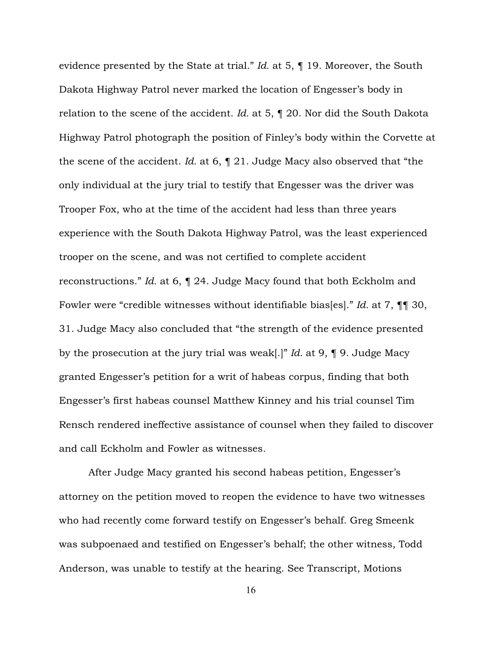evidence presented by the State at trial." *Id.* at 5, ¶ 19. Moreover, the South Dakota Highway Patrol never marked the location of Engesser's body in relation to the scene of the accident. *Id.* at 5, ¶ 20. Nor did the South Dakota Highway Patrol photograph the position of Finley's body within the Corvette at the scene of the accident. *Id.* at 6, ¶ 21. Judge Macy also observed that "the only individual at the jury trial to testify that Engesser was the driver was Trooper Fox, who at the time of the accident had less than three years experience with the South Dakota Highway Patrol, was the least experienced trooper on the scene, and was not certified to complete accident reconstructions." *Id.* at 6, ¶ 24. Judge Macy found that both Eckholm and Fowler were "credible witnesses without identifiable bias[es]." *Id.* at 7, ¶¶ 30, 31. Judge Macy also concluded that "the strength of the evidence presented by the prosecution at the jury trial was weak[.]" *Id.* at 9, ¶ 9. Judge Macy granted Engesser's petition for a writ of habeas corpus, finding that both Engesser's first habeas counsel Matthew Kinney and his trial counsel Tim Rensch rendered ineffective assistance of counsel when they failed to discover and call Eckholm and Fowler as witnesses.

After Judge Macy granted his second habeas petition, Engesser's attorney on the petition moved to reopen the evidence to have two witnesses who had recently come forward testify on Engesser's behalf. Greg Smeenk was subpoenaed and testified on Engesser's behalf; the other witness, Todd Anderson, was unable to testify at the hearing. See Transcript, Motions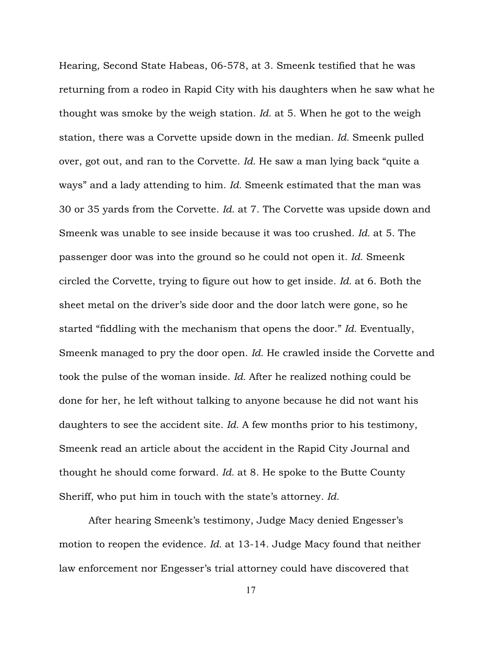Hearing, Second State Habeas, 06-578, at 3. Smeenk testified that he was returning from a rodeo in Rapid City with his daughters when he saw what he thought was smoke by the weigh station. *Id.* at 5. When he got to the weigh station, there was a Corvette upside down in the median. *Id.* Smeenk pulled over, got out, and ran to the Corvette. *Id.* He saw a man lying back "quite a ways" and a lady attending to him. *Id.* Smeenk estimated that the man was 30 or 35 yards from the Corvette. *Id.* at 7. The Corvette was upside down and Smeenk was unable to see inside because it was too crushed. *Id.* at 5. The passenger door was into the ground so he could not open it. *Id.* Smeenk circled the Corvette, trying to figure out how to get inside. *Id.* at 6. Both the sheet metal on the driver's side door and the door latch were gone, so he started "fiddling with the mechanism that opens the door." *Id.* Eventually, Smeenk managed to pry the door open. *Id.* He crawled inside the Corvette and took the pulse of the woman inside. *Id.* After he realized nothing could be done for her, he left without talking to anyone because he did not want his daughters to see the accident site. *Id.* A few months prior to his testimony, Smeenk read an article about the accident in the Rapid City Journal and thought he should come forward. *Id.* at 8. He spoke to the Butte County Sheriff, who put him in touch with the state's attorney. *Id.*

After hearing Smeenk's testimony, Judge Macy denied Engesser's motion to reopen the evidence. *Id.* at 13-14. Judge Macy found that neither law enforcement nor Engesser's trial attorney could have discovered that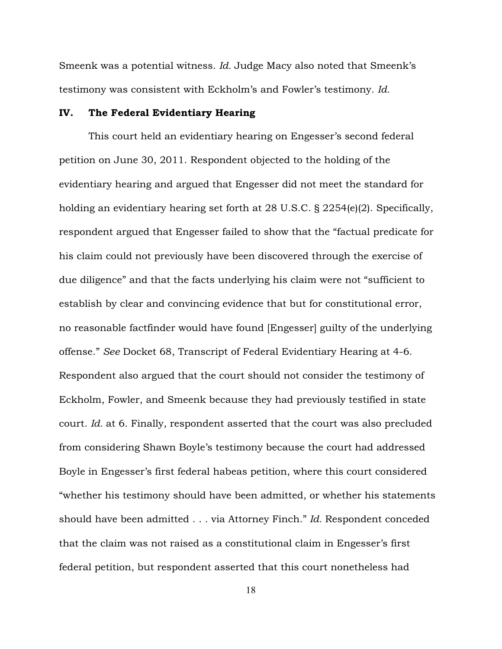Smeenk was a potential witness. *Id.* Judge Macy also noted that Smeenk's testimony was consistent with Eckholm's and Fowler's testimony. *Id.*

## IV. The Federal Evidentiary Hearing

This court held an evidentiary hearing on Engesser's second federal petition on June 30, 2011. Respondent objected to the holding of the evidentiary hearing and argued that Engesser did not meet the standard for holding an evidentiary hearing set forth at 28 U.S.C. § 2254(e)(2). Specifically, respondent argued that Engesser failed to show that the "factual predicate for his claim could not previously have been discovered through the exercise of due diligence" and that the facts underlying his claim were not "sufficient to establish by clear and convincing evidence that but for constitutional error, no reasonable factfinder would have found [Engesser] guilty of the underlying offense." *See* Docket 68, Transcript of Federal Evidentiary Hearing at 4-6. Respondent also argued that the court should not consider the testimony of Eckholm, Fowler, and Smeenk because they had previously testified in state court. *Id.* at 6. Finally, respondent asserted that the court was also precluded from considering Shawn Boyle's testimony because the court had addressed Boyle in Engesser's first federal habeas petition, where this court considered "whether his testimony should have been admitted, or whether his statements should have been admitted . . . via Attorney Finch." *Id.* Respondent conceded that the claim was not raised as a constitutional claim in Engesser's first federal petition, but respondent asserted that this court nonetheless had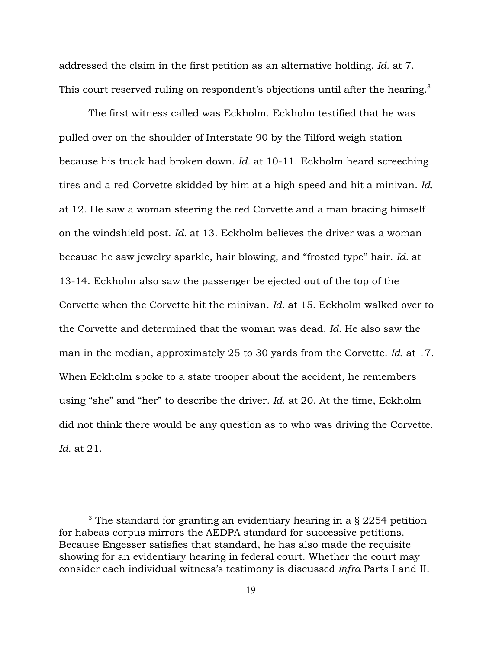addressed the claim in the first petition as an alternative holding. *Id.* at 7. This court reserved ruling on respondent's objections until after the hearing.<sup>3</sup>

The first witness called was Eckholm. Eckholm testified that he was pulled over on the shoulder of Interstate 90 by the Tilford weigh station because his truck had broken down. *Id.* at 10-11. Eckholm heard screeching tires and a red Corvette skidded by him at a high speed and hit a minivan. *Id.* at 12. He saw a woman steering the red Corvette and a man bracing himself on the windshield post. *Id.* at 13. Eckholm believes the driver was a woman because he saw jewelry sparkle, hair blowing, and "frosted type" hair. *Id.* at 13-14. Eckholm also saw the passenger be ejected out of the top of the Corvette when the Corvette hit the minivan. *Id.* at 15. Eckholm walked over to the Corvette and determined that the woman was dead. *Id.* He also saw the man in the median, approximately 25 to 30 yards from the Corvette. *Id.* at 17. When Eckholm spoke to a state trooper about the accident, he remembers using "she" and "her" to describe the driver. *Id.* at 20. At the time, Eckholm did not think there would be any question as to who was driving the Corvette. *Id.* at 21.

 $3$  The standard for granting an evidentiary hearing in a § 2254 petition for habeas corpus mirrors the AEDPA standard for successive petitions. Because Engesser satisfies that standard, he has also made the requisite showing for an evidentiary hearing in federal court. Whether the court may consider each individual witness's testimony is discussed *infra* Parts I and II.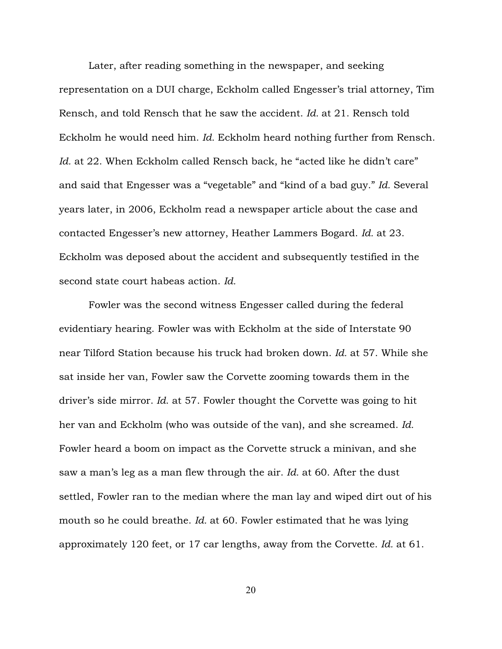Later, after reading something in the newspaper, and seeking representation on a DUI charge, Eckholm called Engesser's trial attorney, Tim Rensch, and told Rensch that he saw the accident. *Id.* at 21. Rensch told Eckholm he would need him. *Id.* Eckholm heard nothing further from Rensch. *Id.* at 22. When Eckholm called Rensch back, he "acted like he didn't care" and said that Engesser was a "vegetable" and "kind of a bad guy." *Id.* Several years later, in 2006, Eckholm read a newspaper article about the case and contacted Engesser's new attorney, Heather Lammers Bogard. *Id.* at 23. Eckholm was deposed about the accident and subsequently testified in the second state court habeas action. *Id.*

Fowler was the second witness Engesser called during the federal evidentiary hearing. Fowler was with Eckholm at the side of Interstate 90 near Tilford Station because his truck had broken down. *Id.* at 57. While she sat inside her van, Fowler saw the Corvette zooming towards them in the driver's side mirror. *Id*. at 57. Fowler thought the Corvette was going to hit her van and Eckholm (who was outside of the van), and she screamed. *Id.* Fowler heard a boom on impact as the Corvette struck a minivan, and she saw a man's leg as a man flew through the air. *Id.* at 60. After the dust settled, Fowler ran to the median where the man lay and wiped dirt out of his mouth so he could breathe. *Id.* at 60. Fowler estimated that he was lying approximately 120 feet, or 17 car lengths, away from the Corvette. *Id.* at 61.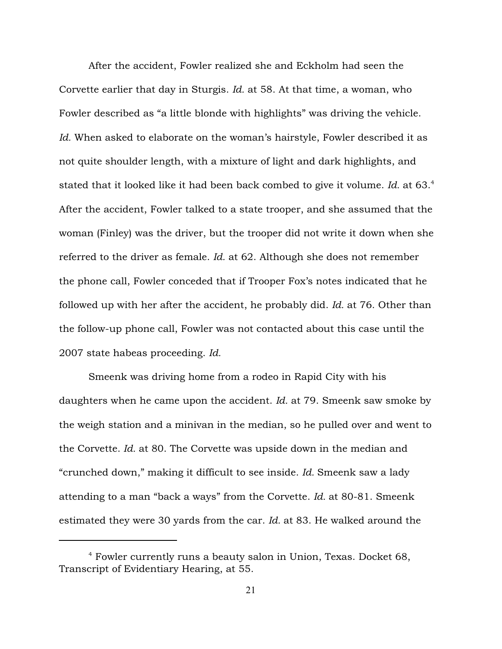After the accident, Fowler realized she and Eckholm had seen the Corvette earlier that day in Sturgis. *Id.* at 58. At that time, a woman, who Fowler described as "a little blonde with highlights" was driving the vehicle. *Id.* When asked to elaborate on the woman's hairstyle, Fowler described it as not quite shoulder length, with a mixture of light and dark highlights, and stated that it looked like it had been back combed to give it volume. *Id.* at 63.<sup>4</sup> After the accident, Fowler talked to a state trooper, and she assumed that the woman (Finley) was the driver, but the trooper did not write it down when she referred to the driver as female. *Id.* at 62. Although she does not remember the phone call, Fowler conceded that if Trooper Fox's notes indicated that he followed up with her after the accident, he probably did. *Id.* at 76. Other than the follow-up phone call, Fowler was not contacted about this case until the 2007 state habeas proceeding. *Id.*

Smeenk was driving home from a rodeo in Rapid City with his daughters when he came upon the accident. *Id.* at 79. Smeenk saw smoke by the weigh station and a minivan in the median, so he pulled over and went to the Corvette. *Id.* at 80. The Corvette was upside down in the median and "crunched down," making it difficult to see inside. *Id.* Smeenk saw a lady attending to a man "back a ways" from the Corvette. *Id.* at 80-81. Smeenk estimated they were 30 yards from the car. *Id.* at 83. He walked around the

Fowler currently runs a beauty salon in Union, Texas. Docket 68, <sup>4</sup> Transcript of Evidentiary Hearing, at 55.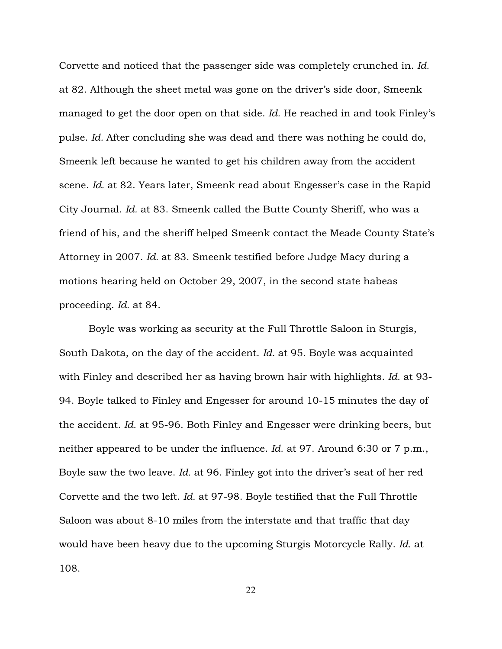Corvette and noticed that the passenger side was completely crunched in. *Id.* at 82. Although the sheet metal was gone on the driver's side door, Smeenk managed to get the door open on that side. *Id.* He reached in and took Finley's pulse. *Id.* After concluding she was dead and there was nothing he could do, Smeenk left because he wanted to get his children away from the accident scene. *Id.* at 82. Years later, Smeenk read about Engesser's case in the Rapid City Journal. *Id.* at 83. Smeenk called the Butte County Sheriff, who was a friend of his, and the sheriff helped Smeenk contact the Meade County State's Attorney in 2007. *Id.* at 83. Smeenk testified before Judge Macy during a motions hearing held on October 29, 2007, in the second state habeas proceeding. *Id.* at 84.

Boyle was working as security at the Full Throttle Saloon in Sturgis, South Dakota, on the day of the accident. *Id.* at 95. Boyle was acquainted with Finley and described her as having brown hair with highlights. *Id.* at 93- 94. Boyle talked to Finley and Engesser for around 10-15 minutes the day of the accident. *Id.* at 95-96. Both Finley and Engesser were drinking beers, but neither appeared to be under the influence. *Id*. at 97. Around 6:30 or 7 p.m., Boyle saw the two leave. *Id.* at 96. Finley got into the driver's seat of her red Corvette and the two left. *Id.* at 97-98. Boyle testified that the Full Throttle Saloon was about 8-10 miles from the interstate and that traffic that day would have been heavy due to the upcoming Sturgis Motorcycle Rally. *Id.* at 108.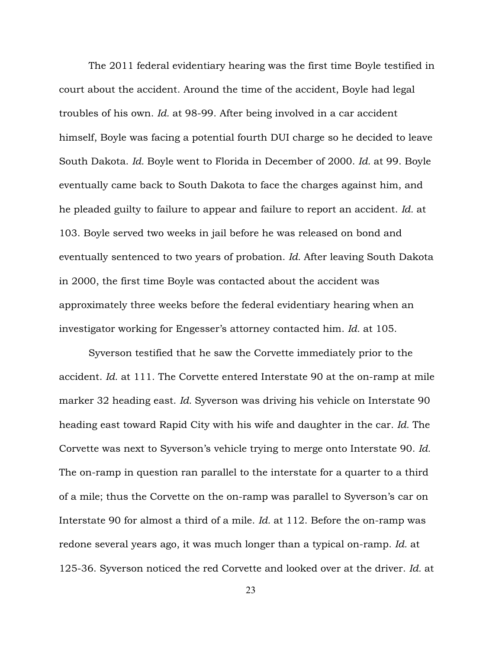The 2011 federal evidentiary hearing was the first time Boyle testified in court about the accident. Around the time of the accident, Boyle had legal troubles of his own. *Id.* at 98-99. After being involved in a car accident himself, Boyle was facing a potential fourth DUI charge so he decided to leave South Dakota. *Id.* Boyle went to Florida in December of 2000. *Id.* at 99. Boyle eventually came back to South Dakota to face the charges against him, and he pleaded guilty to failure to appear and failure to report an accident. *Id.* at 103. Boyle served two weeks in jail before he was released on bond and eventually sentenced to two years of probation. *Id.* After leaving South Dakota in 2000, the first time Boyle was contacted about the accident was approximately three weeks before the federal evidentiary hearing when an investigator working for Engesser's attorney contacted him. *Id.* at 105.

Syverson testified that he saw the Corvette immediately prior to the accident. *Id.* at 111. The Corvette entered Interstate 90 at the on-ramp at mile marker 32 heading east. *Id.* Syverson was driving his vehicle on Interstate 90 heading east toward Rapid City with his wife and daughter in the car. *Id.* The Corvette was next to Syverson's vehicle trying to merge onto Interstate 90. *Id.* The on-ramp in question ran parallel to the interstate for a quarter to a third of a mile; thus the Corvette on the on-ramp was parallel to Syverson's car on Interstate 90 for almost a third of a mile. *Id.* at 112. Before the on-ramp was redone several years ago, it was much longer than a typical on-ramp. *Id.* at 125-36. Syverson noticed the red Corvette and looked over at the driver. *Id.* at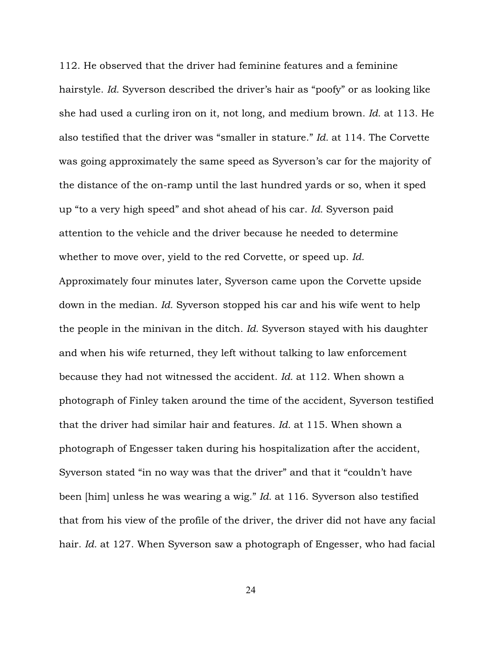112. He observed that the driver had feminine features and a feminine hairstyle. *Id.* Syverson described the driver's hair as "poofy" or as looking like she had used a curling iron on it, not long, and medium brown. *Id.* at 113. He also testified that the driver was "smaller in stature." *Id.* at 114. The Corvette was going approximately the same speed as Syverson's car for the majority of the distance of the on-ramp until the last hundred yards or so, when it sped up "to a very high speed" and shot ahead of his car. *Id.* Syverson paid attention to the vehicle and the driver because he needed to determine whether to move over, yield to the red Corvette, or speed up. *Id.* Approximately four minutes later, Syverson came upon the Corvette upside down in the median. *Id.* Syverson stopped his car and his wife went to help the people in the minivan in the ditch. *Id.* Syverson stayed with his daughter and when his wife returned, they left without talking to law enforcement because they had not witnessed the accident. *Id.* at 112. When shown a photograph of Finley taken around the time of the accident, Syverson testified that the driver had similar hair and features. *Id.* at 115. When shown a photograph of Engesser taken during his hospitalization after the accident, Syverson stated "in no way was that the driver" and that it "couldn't have been [him] unless he was wearing a wig." *Id.* at 116. Syverson also testified that from his view of the profile of the driver, the driver did not have any facial hair. *Id.* at 127. When Syverson saw a photograph of Engesser, who had facial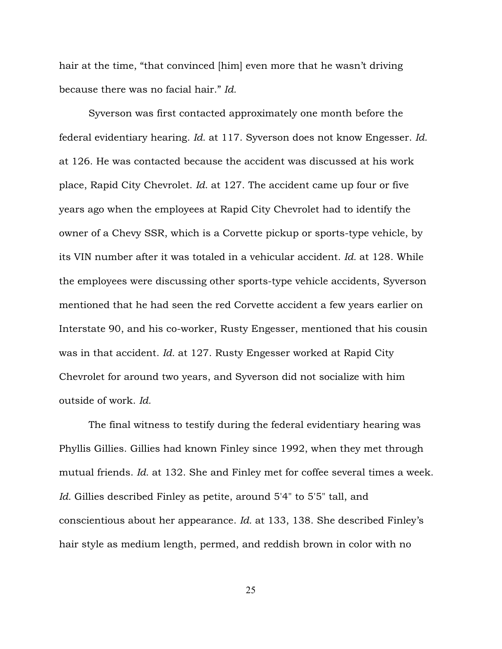hair at the time, "that convinced [him] even more that he wasn't driving because there was no facial hair." *Id.*

Syverson was first contacted approximately one month before the federal evidentiary hearing. *Id.* at 117. Syverson does not know Engesser. *Id.* at 126. He was contacted because the accident was discussed at his work place, Rapid City Chevrolet. *Id*. at 127. The accident came up four or five years ago when the employees at Rapid City Chevrolet had to identify the owner of a Chevy SSR, which is a Corvette pickup or sports-type vehicle, by its VIN number after it was totaled in a vehicular accident. *Id.* at 128. While the employees were discussing other sports-type vehicle accidents, Syverson mentioned that he had seen the red Corvette accident a few years earlier on Interstate 90, and his co-worker, Rusty Engesser, mentioned that his cousin was in that accident. *Id.* at 127. Rusty Engesser worked at Rapid City Chevrolet for around two years, and Syverson did not socialize with him outside of work. *Id.*

The final witness to testify during the federal evidentiary hearing was Phyllis Gillies. Gillies had known Finley since 1992, when they met through mutual friends. *Id.* at 132. She and Finley met for coffee several times a week. *Id.* Gillies described Finley as petite, around 5'4" to 5'5" tall, and conscientious about her appearance. *Id.* at 133, 138. She described Finley's hair style as medium length, permed, and reddish brown in color with no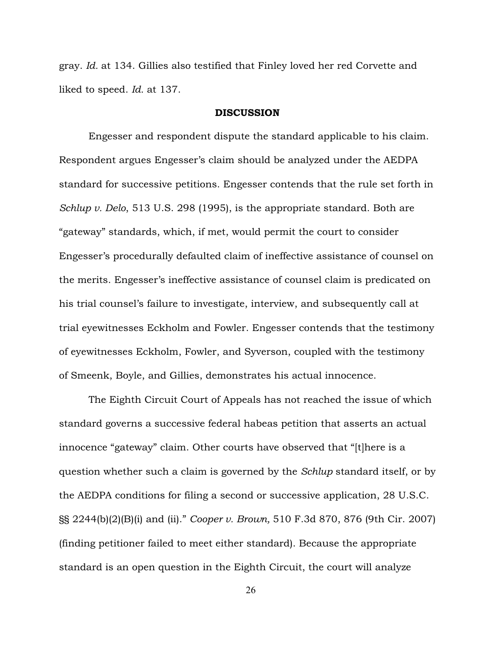gray. *Id.* at 134. Gillies also testified that Finley loved her red Corvette and liked to speed. *Id.* at 137.

#### DISCUSSION

Engesser and respondent dispute the standard applicable to his claim. Respondent argues Engesser's claim should be analyzed under the AEDPA standard for successive petitions. Engesser contends that the rule set forth in *Schlup v. Delo*, 513 U.S. 298 (1995), is the appropriate standard. Both are "gateway" standards, which, if met, would permit the court to consider Engesser's procedurally defaulted claim of ineffective assistance of counsel on the merits. Engesser's ineffective assistance of counsel claim is predicated on his trial counsel's failure to investigate, interview, and subsequently call at trial eyewitnesses Eckholm and Fowler. Engesser contends that the testimony of eyewitnesses Eckholm, Fowler, and Syverson, coupled with the testimony of Smeenk, Boyle, and Gillies, demonstrates his actual innocence.

The Eighth Circuit Court of Appeals has not reached the issue of which standard governs a successive federal habeas petition that asserts an actual innocence "gateway" claim. Other courts have observed that "[t]here is a question whether such a claim is governed by the *Schlup* standard itself, or by the AEDPA conditions for filing a second or successive application, 28 U.S.C. §§ 2244(b)(2)(B)(i) and (ii)." *Cooper v. Brown,* 510 F.3d 870, 876 (9th Cir. 2007) (finding petitioner failed to meet either standard). Because the appropriate standard is an open question in the Eighth Circuit, the court will analyze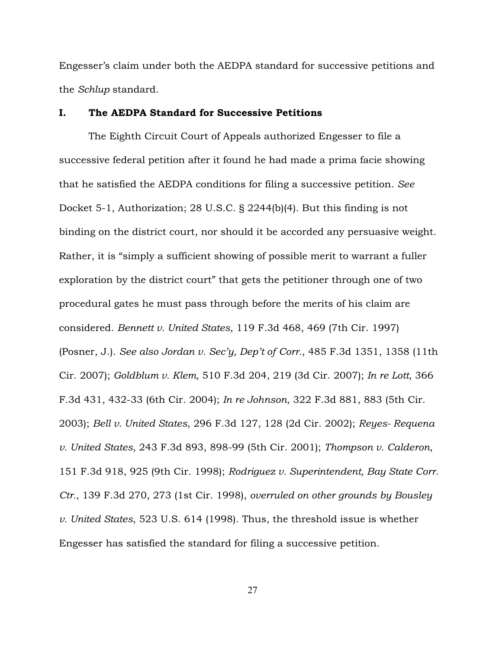Engesser's claim under both the AEDPA standard for successive petitions and the *Schlup* standard.

# I. The AEDPA Standard for Successive Petitions

The Eighth Circuit Court of Appeals authorized Engesser to file a successive federal petition after it found he had made a prima facie showing that he satisfied the AEDPA conditions for filing a successive petition. *See* Docket 5-1, Authorization; 28 U.S.C. § 2244(b)(4). But this finding is not binding on the district court, nor should it be accorded any persuasive weight. Rather, it is "simply a sufficient showing of possible merit to warrant a fuller exploration by the district court" that gets the petitioner through one of two procedural gates he must pass through before the merits of his claim are considered. *Bennett v. United States*, 119 F.3d 468, 469 (7th Cir. 1997) (Posner, J.). *See also Jordan v. Sec'y, Dep't of Corr.*, 485 F.3d 1351, 1358 (11th Cir. 2007); *Goldblum v. Klem*, 510 F.3d 204, 219 (3d Cir. 2007); *In re Lott*, 366 F.3d 431, 432-33 (6th Cir. 2004); *In re Johnson*, 322 F.3d 881, 883 (5th Cir. 2003); *Bell v. United States*, 296 F.3d 127, 128 (2d Cir. 2002); *Reyes- Requena v. United States*, 243 F.3d 893, 898-99 (5th Cir. 2001); *Thompson v. Calderon*, 151 F.3d 918, 925 (9th Cir. 1998); *Rodriguez v. Superintendent, Bay State Corr. Ctr.*, 139 F.3d 270, 273 (1st Cir. 1998), *overruled on other grounds by Bousley v. United States*, 523 U.S. 614 (1998). Thus, the threshold issue is whether Engesser has satisfied the standard for filing a successive petition.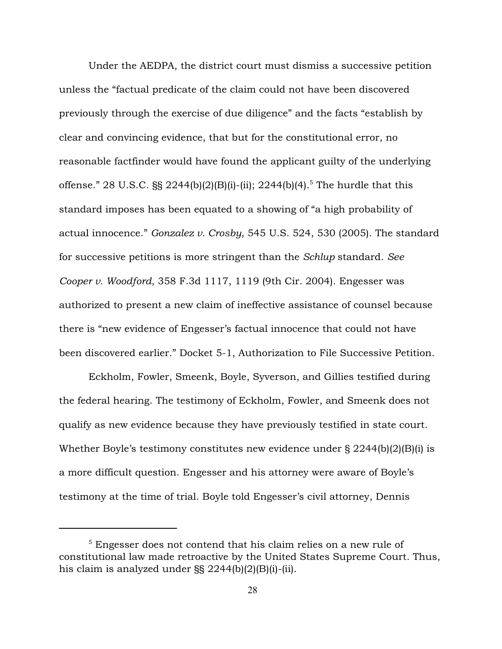Under the AEDPA, the district court must dismiss a successive petition unless the "factual predicate of the claim could not have been discovered previously through the exercise of due diligence" and the facts "establish by clear and convincing evidence, that but for the constitutional error, no reasonable factfinder would have found the applicant guilty of the underlying offense." 28 U.S.C.  $\S$  2244(b)(2)(B)(i)-(ii); 2244(b)(4).<sup>5</sup> The hurdle that this standard imposes has been equated to a showing of "a high probability of actual innocence." *Gonzalez v. Crosby*, 545 U.S. 524, 530 (2005). The standard for successive petitions is more stringent than the *Schlup* standard. *See Cooper v. Woodford*, 358 F.3d 1117, 1119 (9th Cir. 2004). Engesser was authorized to present a new claim of ineffective assistance of counsel because there is "new evidence of Engesser's factual innocence that could not have been discovered earlier." Docket 5-1, Authorization to File Successive Petition.

Eckholm, Fowler, Smeenk, Boyle, Syverson, and Gillies testified during the federal hearing. The testimony of Eckholm, Fowler, and Smeenk does not qualify as new evidence because they have previously testified in state court. Whether Boyle's testimony constitutes new evidence under § 2244(b)(2)(B)(i) is a more difficult question. Engesser and his attorney were aware of Boyle's testimony at the time of trial. Boyle told Engesser's civil attorney, Dennis

 $5$  Engesser does not contend that his claim relies on a new rule of constitutional law made retroactive by the United States Supreme Court. Thus, his claim is analyzed under §§ 2244(b)(2)(B)(i)-(ii).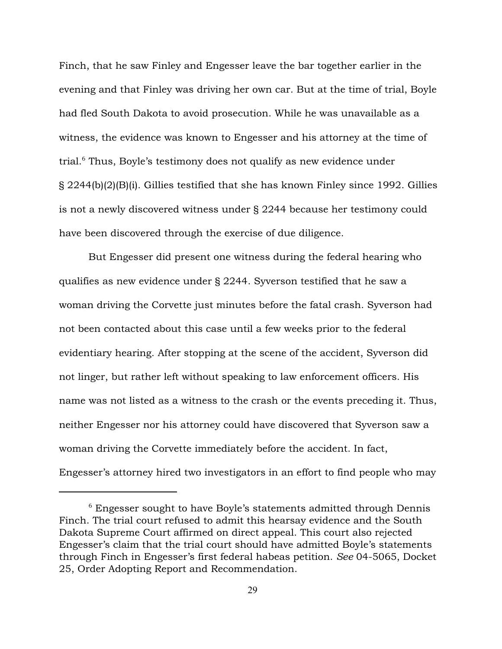Finch, that he saw Finley and Engesser leave the bar together earlier in the evening and that Finley was driving her own car. But at the time of trial, Boyle had fled South Dakota to avoid prosecution. While he was unavailable as a witness, the evidence was known to Engesser and his attorney at the time of trial.<sup>6</sup> Thus, Boyle's testimony does not qualify as new evidence under § 2244(b)(2)(B)(i). Gillies testified that she has known Finley since 1992. Gillies is not a newly discovered witness under § 2244 because her testimony could have been discovered through the exercise of due diligence.

But Engesser did present one witness during the federal hearing who qualifies as new evidence under § 2244. Syverson testified that he saw a woman driving the Corvette just minutes before the fatal crash. Syverson had not been contacted about this case until a few weeks prior to the federal evidentiary hearing. After stopping at the scene of the accident, Syverson did not linger, but rather left without speaking to law enforcement officers. His name was not listed as a witness to the crash or the events preceding it. Thus, neither Engesser nor his attorney could have discovered that Syverson saw a woman driving the Corvette immediately before the accident. In fact, Engesser's attorney hired two investigators in an effort to find people who may

 $6$  Engesser sought to have Boyle's statements admitted through Dennis Finch. The trial court refused to admit this hearsay evidence and the South Dakota Supreme Court affirmed on direct appeal. This court also rejected Engesser's claim that the trial court should have admitted Boyle's statements through Finch in Engesser's first federal habeas petition. *See* 04-5065, Docket 25, Order Adopting Report and Recommendation.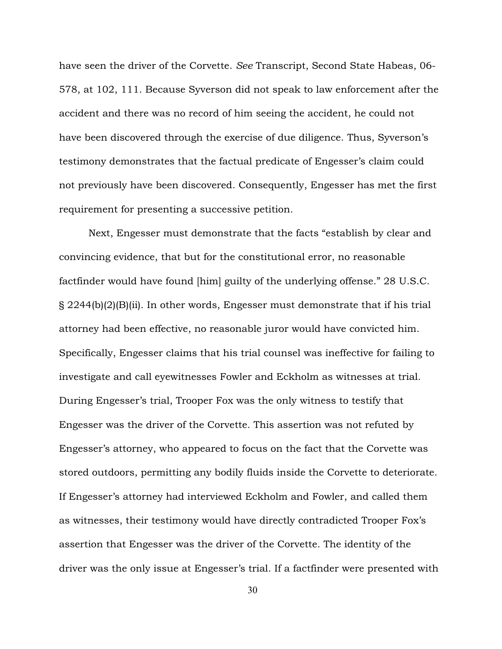have seen the driver of the Corvette. *See* Transcript, Second State Habeas, 06- 578, at 102, 111. Because Syverson did not speak to law enforcement after the accident and there was no record of him seeing the accident, he could not have been discovered through the exercise of due diligence. Thus, Syverson's testimony demonstrates that the factual predicate of Engesser's claim could not previously have been discovered. Consequently, Engesser has met the first requirement for presenting a successive petition.

Next, Engesser must demonstrate that the facts "establish by clear and convincing evidence, that but for the constitutional error, no reasonable factfinder would have found [him] guilty of the underlying offense." 28 U.S.C. § 2244(b)(2)(B)(ii). In other words, Engesser must demonstrate that if his trial attorney had been effective, no reasonable juror would have convicted him. Specifically, Engesser claims that his trial counsel was ineffective for failing to investigate and call eyewitnesses Fowler and Eckholm as witnesses at trial. During Engesser's trial, Trooper Fox was the only witness to testify that Engesser was the driver of the Corvette. This assertion was not refuted by Engesser's attorney, who appeared to focus on the fact that the Corvette was stored outdoors, permitting any bodily fluids inside the Corvette to deteriorate. If Engesser's attorney had interviewed Eckholm and Fowler, and called them as witnesses, their testimony would have directly contradicted Trooper Fox's assertion that Engesser was the driver of the Corvette. The identity of the driver was the only issue at Engesser's trial. If a factfinder were presented with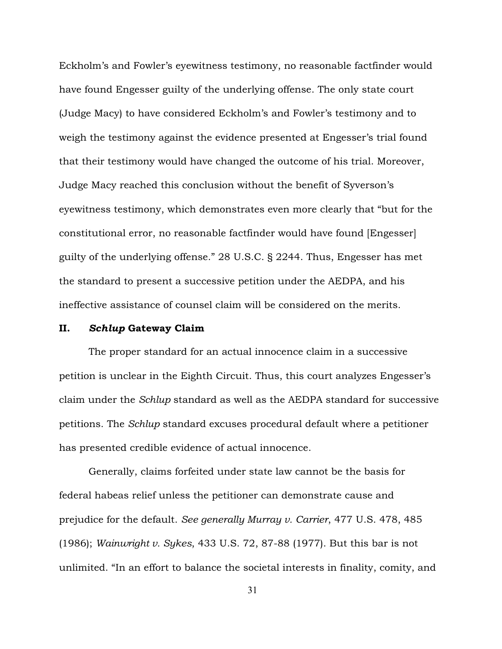Eckholm's and Fowler's eyewitness testimony, no reasonable factfinder would have found Engesser guilty of the underlying offense. The only state court (Judge Macy) to have considered Eckholm's and Fowler's testimony and to weigh the testimony against the evidence presented at Engesser's trial found that their testimony would have changed the outcome of his trial. Moreover, Judge Macy reached this conclusion without the benefit of Syverson's eyewitness testimony, which demonstrates even more clearly that "but for the constitutional error, no reasonable factfinder would have found [Engesser] guilty of the underlying offense." 28 U.S.C. § 2244. Thus, Engesser has met the standard to present a successive petition under the AEDPA, and his ineffective assistance of counsel claim will be considered on the merits.

## II. *Schlup* Gateway Claim

The proper standard for an actual innocence claim in a successive petition is unclear in the Eighth Circuit. Thus, this court analyzes Engesser's claim under the *Schlup* standard as well as the AEDPA standard for successive petitions. The *Schlup* standard excuses procedural default where a petitioner has presented credible evidence of actual innocence.

Generally, claims forfeited under state law cannot be the basis for federal habeas relief unless the petitioner can demonstrate cause and prejudice for the default. *See generally Murray v. Carrier*, 477 U.S. 478, 485 (1986); *Wainwright v. Sykes*, 433 U.S. 72, 87-88 (1977). But this bar is not unlimited. "In an effort to balance the societal interests in finality, comity, and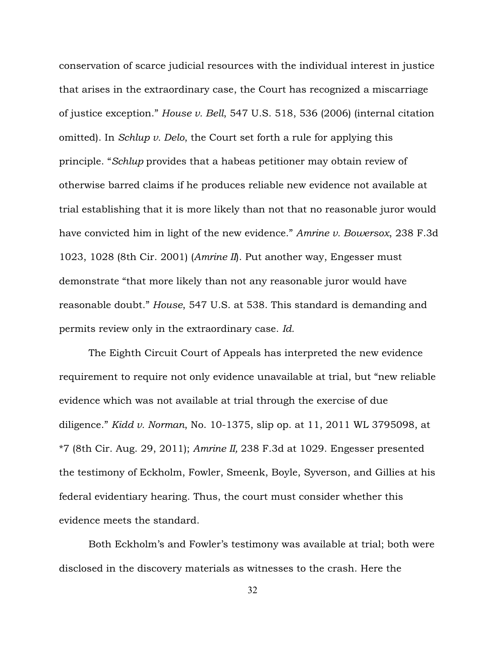conservation of scarce judicial resources with the individual interest in justice that arises in the extraordinary case, the Court has recognized a miscarriage of justice exception." *House v. Bell*, 547 U.S. 518, 536 (2006) (internal citation omitted). In *Schlup v. Delo*, the Court set forth a rule for applying this principle. "*Schlup* provides that a habeas petitioner may obtain review of otherwise barred claims if he produces reliable new evidence not available at trial establishing that it is more likely than not that no reasonable juror would have convicted him in light of the new evidence." *Amrine v. Bowersox*, 238 F.3d 1023, 1028 (8th Cir. 2001) (*Amrine II*). Put another way, Engesser must demonstrate "that more likely than not any reasonable juror would have reasonable doubt." *House*, 547 U.S. at 538. This standard is demanding and permits review only in the extraordinary case. *Id.* 

The Eighth Circuit Court of Appeals has interpreted the new evidence requirement to require not only evidence unavailable at trial, but "new reliable evidence which was not available at trial through the exercise of due diligence." *Kidd v. Norman*, No. 10-1375, slip op. at 11, 2011 WL 3795098, at \*7 (8th Cir. Aug. 29, 2011); *Amrine II,* 238 F.3d at 1029. Engesser presented the testimony of Eckholm, Fowler, Smeenk, Boyle, Syverson, and Gillies at his federal evidentiary hearing. Thus, the court must consider whether this evidence meets the standard.

Both Eckholm's and Fowler's testimony was available at trial; both were disclosed in the discovery materials as witnesses to the crash. Here the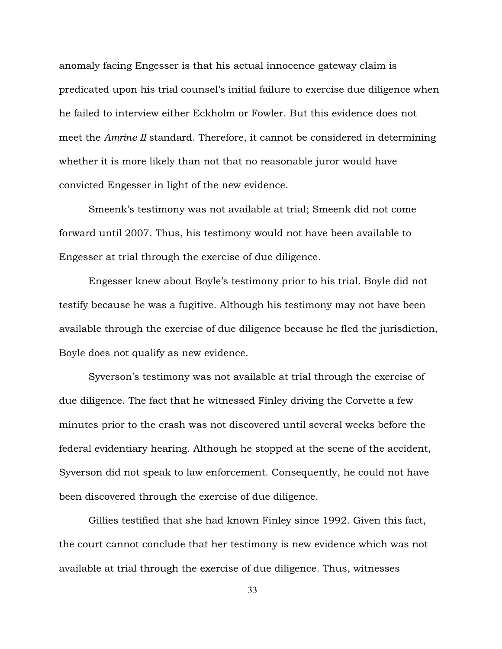anomaly facing Engesser is that his actual innocence gateway claim is predicated upon his trial counsel's initial failure to exercise due diligence when he failed to interview either Eckholm or Fowler. But this evidence does not meet the *Amrine II* standard. Therefore, it cannot be considered in determining whether it is more likely than not that no reasonable juror would have convicted Engesser in light of the new evidence.

Smeenk's testimony was not available at trial; Smeenk did not come forward until 2007. Thus, his testimony would not have been available to Engesser at trial through the exercise of due diligence.

Engesser knew about Boyle's testimony prior to his trial. Boyle did not testify because he was a fugitive. Although his testimony may not have been available through the exercise of due diligence because he fled the jurisdiction, Boyle does not qualify as new evidence.

Syverson's testimony was not available at trial through the exercise of due diligence. The fact that he witnessed Finley driving the Corvette a few minutes prior to the crash was not discovered until several weeks before the federal evidentiary hearing. Although he stopped at the scene of the accident, Syverson did not speak to law enforcement. Consequently, he could not have been discovered through the exercise of due diligence.

Gillies testified that she had known Finley since 1992. Given this fact, the court cannot conclude that her testimony is new evidence which was not available at trial through the exercise of due diligence. Thus, witnesses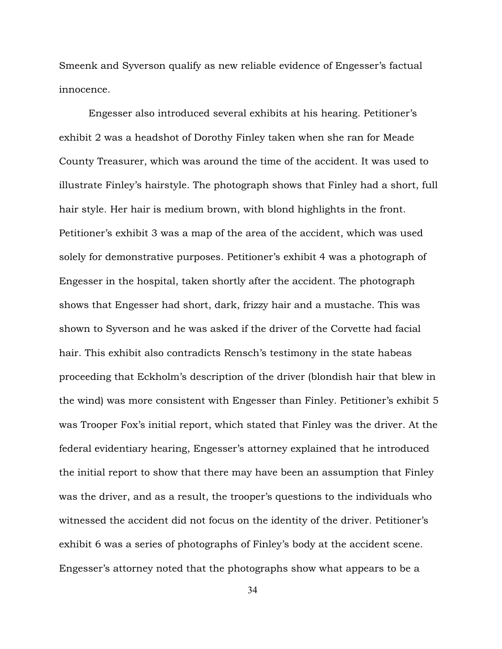Smeenk and Syverson qualify as new reliable evidence of Engesser's factual innocence.

Engesser also introduced several exhibits at his hearing. Petitioner's exhibit 2 was a headshot of Dorothy Finley taken when she ran for Meade County Treasurer, which was around the time of the accident. It was used to illustrate Finley's hairstyle. The photograph shows that Finley had a short, full hair style. Her hair is medium brown, with blond highlights in the front. Petitioner's exhibit 3 was a map of the area of the accident, which was used solely for demonstrative purposes. Petitioner's exhibit 4 was a photograph of Engesser in the hospital, taken shortly after the accident. The photograph shows that Engesser had short, dark, frizzy hair and a mustache. This was shown to Syverson and he was asked if the driver of the Corvette had facial hair. This exhibit also contradicts Rensch's testimony in the state habeas proceeding that Eckholm's description of the driver (blondish hair that blew in the wind) was more consistent with Engesser than Finley. Petitioner's exhibit 5 was Trooper Fox's initial report, which stated that Finley was the driver. At the federal evidentiary hearing, Engesser's attorney explained that he introduced the initial report to show that there may have been an assumption that Finley was the driver, and as a result, the trooper's questions to the individuals who witnessed the accident did not focus on the identity of the driver. Petitioner's exhibit 6 was a series of photographs of Finley's body at the accident scene. Engesser's attorney noted that the photographs show what appears to be a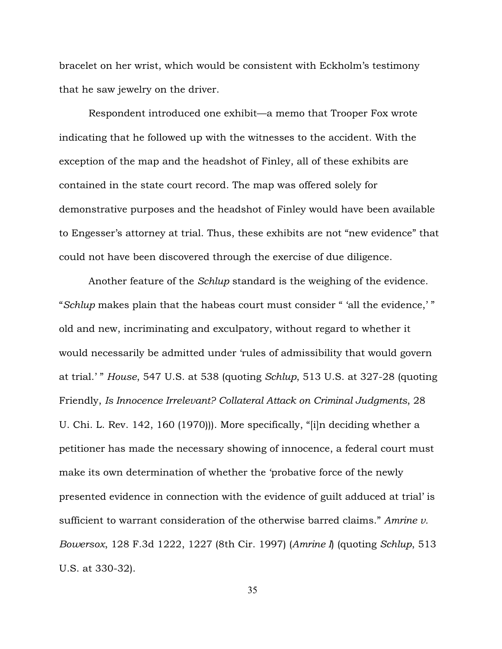bracelet on her wrist, which would be consistent with Eckholm's testimony that he saw jewelry on the driver.

Respondent introduced one exhibit—a memo that Trooper Fox wrote indicating that he followed up with the witnesses to the accident. With the exception of the map and the headshot of Finley, all of these exhibits are contained in the state court record. The map was offered solely for demonstrative purposes and the headshot of Finley would have been available to Engesser's attorney at trial. Thus, these exhibits are not "new evidence" that could not have been discovered through the exercise of due diligence.

Another feature of the *Schlup* standard is the weighing of the evidence. "*Schlup* makes plain that the habeas court must consider " 'all the evidence,' " old and new, incriminating and exculpatory, without regard to whether it would necessarily be admitted under 'rules of admissibility that would govern at trial.' " *House*, 547 U.S. at 538 (quoting *Schlup*, 513 U.S. at 327-28 (quoting Friendly, *Is Innocence Irrelevant? Collateral Attack on Criminal Judgments*, 28 U. Chi. L. Rev. 142, 160 (1970))). More specifically, "[i]n deciding whether a petitioner has made the necessary showing of innocence, a federal court must make its own determination of whether the 'probative force of the newly presented evidence in connection with the evidence of guilt adduced at trial' is sufficient to warrant consideration of the otherwise barred claims." *Amrine v. Bowersox*, 128 F.3d 1222, 1227 (8th Cir. 1997) (*Amrine I*) (quoting *Schlup*, 513 U.S. at 330-32).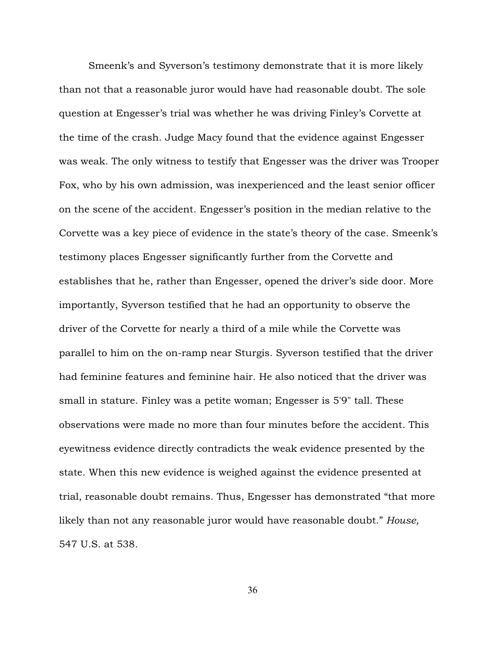Smeenk's and Syverson's testimony demonstrate that it is more likely than not that a reasonable juror would have had reasonable doubt. The sole question at Engesser's trial was whether he was driving Finley's Corvette at the time of the crash. Judge Macy found that the evidence against Engesser was weak. The only witness to testify that Engesser was the driver was Trooper Fox, who by his own admission, was inexperienced and the least senior officer on the scene of the accident. Engesser's position in the median relative to the Corvette was a key piece of evidence in the state's theory of the case. Smeenk's testimony places Engesser significantly further from the Corvette and establishes that he, rather than Engesser, opened the driver's side door. More importantly, Syverson testified that he had an opportunity to observe the driver of the Corvette for nearly a third of a mile while the Corvette was parallel to him on the on-ramp near Sturgis. Syverson testified that the driver had feminine features and feminine hair. He also noticed that the driver was small in stature. Finley was a petite woman; Engesser is 5'9" tall. These observations were made no more than four minutes before the accident. This eyewitness evidence directly contradicts the weak evidence presented by the state. When this new evidence is weighed against the evidence presented at trial, reasonable doubt remains. Thus, Engesser has demonstrated "that more likely than not any reasonable juror would have reasonable doubt." *House,* 547 U.S. at 538.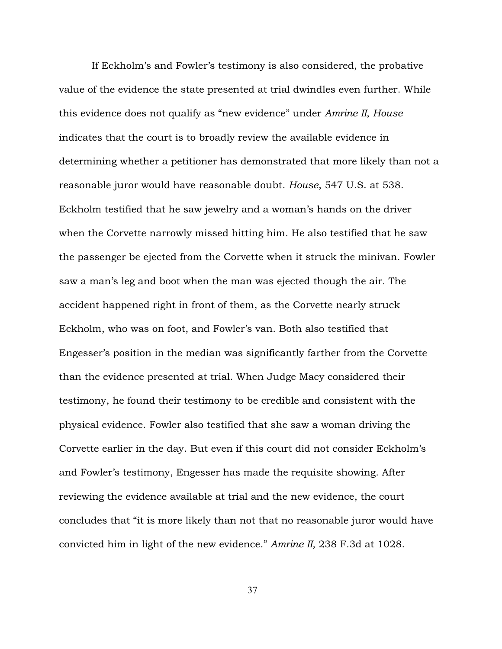If Eckholm's and Fowler's testimony is also considered, the probative value of the evidence the state presented at trial dwindles even further. While this evidence does not qualify as "new evidence" under *Amrine II*, *House* indicates that the court is to broadly review the available evidence in determining whether a petitioner has demonstrated that more likely than not a reasonable juror would have reasonable doubt. *House*, 547 U.S. at 538. Eckholm testified that he saw jewelry and a woman's hands on the driver when the Corvette narrowly missed hitting him. He also testified that he saw the passenger be ejected from the Corvette when it struck the minivan. Fowler saw a man's leg and boot when the man was ejected though the air. The accident happened right in front of them, as the Corvette nearly struck Eckholm, who was on foot, and Fowler's van. Both also testified that Engesser's position in the median was significantly farther from the Corvette than the evidence presented at trial. When Judge Macy considered their testimony, he found their testimony to be credible and consistent with the physical evidence. Fowler also testified that she saw a woman driving the Corvette earlier in the day. But even if this court did not consider Eckholm's and Fowler's testimony, Engesser has made the requisite showing. After reviewing the evidence available at trial and the new evidence, the court concludes that "it is more likely than not that no reasonable juror would have convicted him in light of the new evidence." *Amrine II,* 238 F.3d at 1028.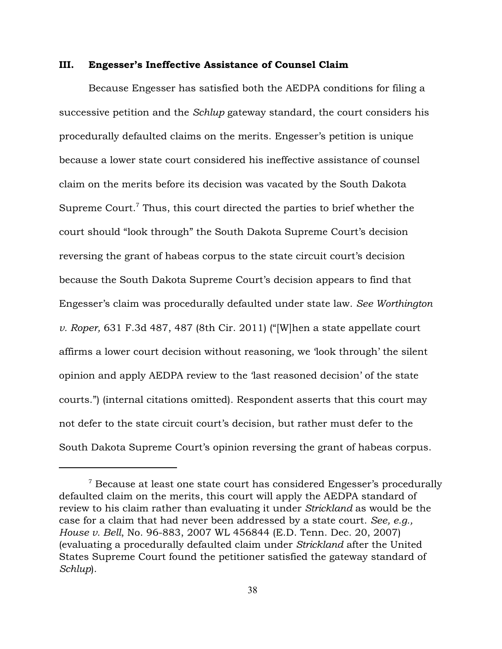# III. Engesser's Ineffective Assistance of Counsel Claim

Because Engesser has satisfied both the AEDPA conditions for filing a successive petition and the *Schlup* gateway standard, the court considers his procedurally defaulted claims on the merits. Engesser's petition is unique because a lower state court considered his ineffective assistance of counsel claim on the merits before its decision was vacated by the South Dakota Supreme Court.<sup> $7$ </sup> Thus, this court directed the parties to brief whether the court should "look through" the South Dakota Supreme Court's decision reversing the grant of habeas corpus to the state circuit court's decision because the South Dakota Supreme Court's decision appears to find that Engesser's claim was procedurally defaulted under state law. *See Worthington v. Roper,* 631 F.3d 487, 487 (8th Cir. 2011) ("[W]hen a state appellate court affirms a lower court decision without reasoning, we 'look through' the silent opinion and apply AEDPA review to the 'last reasoned decision' of the state courts.") (internal citations omitted). Respondent asserts that this court may not defer to the state circuit court's decision, but rather must defer to the South Dakota Supreme Court's opinion reversing the grant of habeas corpus.

 $7$  Because at least one state court has considered Engesser's procedurally defaulted claim on the merits, this court will apply the AEDPA standard of review to his claim rather than evaluating it under *Strickland* as would be the case for a claim that had never been addressed by a state court. *See, e.g., House v. Bell*, No. 96-883, 2007 WL 456844 (E.D. Tenn. Dec. 20, 2007) (evaluating a procedurally defaulted claim under *Strickland* after the United States Supreme Court found the petitioner satisfied the gateway standard of *Schlup*).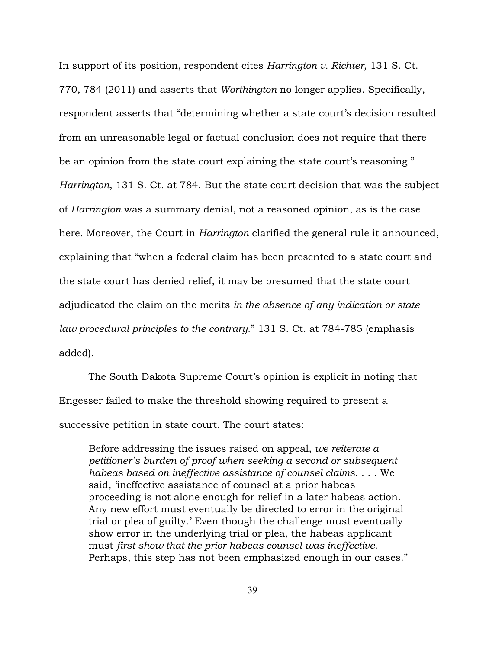In support of its position, respondent cites *Harrington v. Richter*, 131 S. Ct. 770, 784 (2011) and asserts that *Worthington* no longer applies. Specifically, respondent asserts that "determining whether a state court's decision resulted from an unreasonable legal or factual conclusion does not require that there be an opinion from the state court explaining the state court's reasoning." *Harrington*, 131 S. Ct. at 784. But the state court decision that was the subject of *Harrington* was a summary denial, not a reasoned opinion, as is the case here. Moreover, the Court in *Harrington* clarified the general rule it announced, explaining that "when a federal claim has been presented to a state court and the state court has denied relief, it may be presumed that the state court adjudicated the claim on the merits *in the absence of any indication or state law procedural principles to the contrary*." 131 S. Ct. at 784-785 (emphasis added).

The South Dakota Supreme Court's opinion is explicit in noting that Engesser failed to make the threshold showing required to present a successive petition in state court. The court states:

Before addressing the issues raised on appeal, *we reiterate a petitioner's burden of proof when seeking a second or subsequent habeas based on ineffective assistance of counsel claims*. . . . We said, 'ineffective assistance of counsel at a prior habeas proceeding is not alone enough for relief in a later habeas action. Any new effort must eventually be directed to error in the original trial or plea of guilty.' Even though the challenge must eventually show error in the underlying trial or plea, the habeas applicant must *first show that the prior habeas counsel was ineffective.* Perhaps, this step has not been emphasized enough in our cases."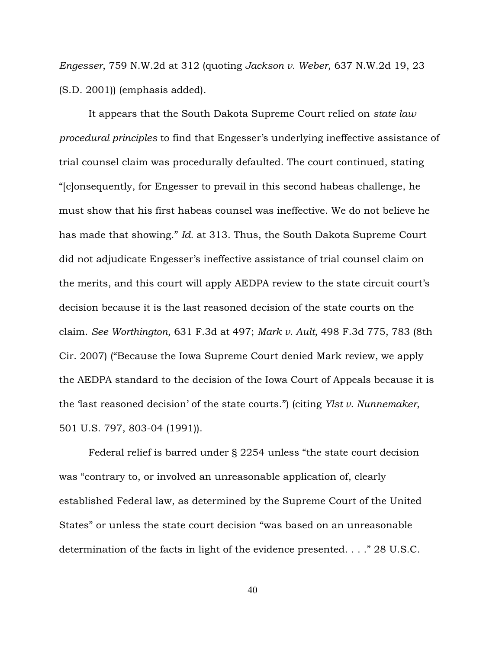*Engesser*, 759 N.W.2d at 312 (quoting *Jackson v. Weber*, 637 N.W.2d 19, 23 (S.D. 2001)) (emphasis added).

It appears that the South Dakota Supreme Court relied on *state law procedural principles* to find that Engesser's underlying ineffective assistance of trial counsel claim was procedurally defaulted. The court continued, stating "[c]onsequently, for Engesser to prevail in this second habeas challenge, he must show that his first habeas counsel was ineffective. We do not believe he has made that showing." *Id.* at 313. Thus, the South Dakota Supreme Court did not adjudicate Engesser's ineffective assistance of trial counsel claim on the merits, and this court will apply AEDPA review to the state circuit court's decision because it is the last reasoned decision of the state courts on the claim. *See Worthington*, 631 F.3d at 497; *Mark v. Ault*, 498 F.3d 775, 783 (8th Cir. 2007) ("Because the Iowa Supreme Court denied Mark review, we apply the AEDPA standard to the decision of the Iowa Court of Appeals because it is the 'last reasoned decision' of the state courts.") (citing *Ylst v. Nunnemaker*, 501 U.S. 797, 803-04 (1991)).

Federal relief is barred under § 2254 unless "the state court decision was "contrary to, or involved an unreasonable application of, clearly established Federal law, as determined by the Supreme Court of the United States" or unless the state court decision "was based on an unreasonable determination of the facts in light of the evidence presented. . . ." 28 U.S.C.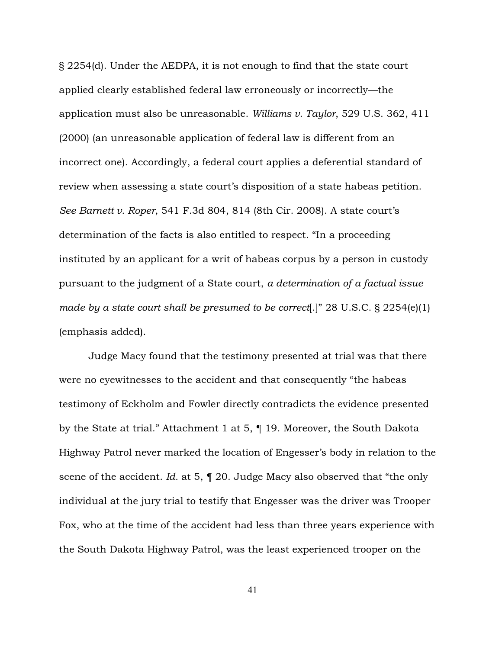§ 2254(d). Under the AEDPA, it is not enough to find that the state court applied clearly established federal law erroneously or incorrectly—the application must also be unreasonable. *Williams v. Taylor*, 529 U.S. 362, 411 (2000) (an unreasonable application of federal law is different from an incorrect one). Accordingly, a federal court applies a deferential standard of review when assessing a state court's disposition of a state habeas petition. *See Barnett v. Roper*, 541 F.3d 804, 814 (8th Cir. 2008). A state court's determination of the facts is also entitled to respect. "In a proceeding instituted by an applicant for a writ of habeas corpus by a person in custody pursuant to the judgment of a State court, *a determination of a factual issue made by a state court shall be presumed to be correct*[.]" 28 U.S.C. § 2254(e)(1) (emphasis added).

Judge Macy found that the testimony presented at trial was that there were no eyewitnesses to the accident and that consequently "the habeas testimony of Eckholm and Fowler directly contradicts the evidence presented by the State at trial." Attachment 1 at 5, ¶ 19. Moreover, the South Dakota Highway Patrol never marked the location of Engesser's body in relation to the scene of the accident. *Id.* at 5, ¶ 20. Judge Macy also observed that "the only individual at the jury trial to testify that Engesser was the driver was Trooper Fox, who at the time of the accident had less than three years experience with the South Dakota Highway Patrol, was the least experienced trooper on the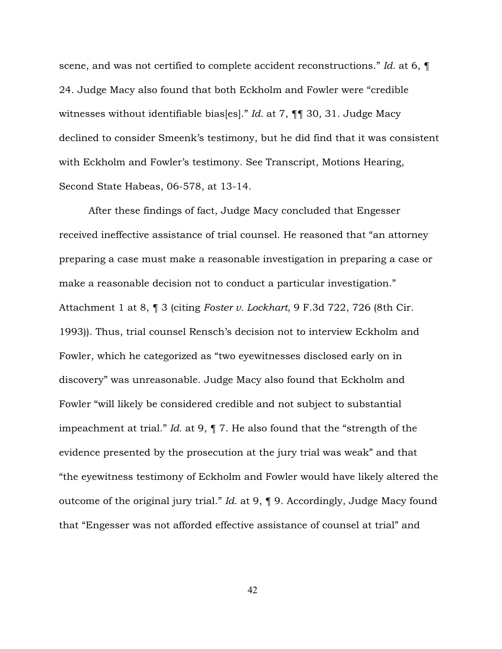scene, and was not certified to complete accident reconstructions." *Id.* at 6, ¶ 24. Judge Macy also found that both Eckholm and Fowler were "credible witnesses without identifiable bias[es]." *Id.* at 7, ¶¶ 30, 31. Judge Macy declined to consider Smeenk's testimony, but he did find that it was consistent with Eckholm and Fowler's testimony. See Transcript, Motions Hearing, Second State Habeas, 06-578, at 13-14.

After these findings of fact, Judge Macy concluded that Engesser received ineffective assistance of trial counsel. He reasoned that "an attorney preparing a case must make a reasonable investigation in preparing a case or make a reasonable decision not to conduct a particular investigation." Attachment 1 at 8, ¶ 3 (citing *Foster v. Lockhart*, 9 F.3d 722, 726 (8th Cir. 1993)). Thus, trial counsel Rensch's decision not to interview Eckholm and Fowler, which he categorized as "two eyewitnesses disclosed early on in discovery" was unreasonable. Judge Macy also found that Eckholm and Fowler "will likely be considered credible and not subject to substantial impeachment at trial." *Id.* at 9, ¶ 7. He also found that the "strength of the evidence presented by the prosecution at the jury trial was weak" and that "the eyewitness testimony of Eckholm and Fowler would have likely altered the outcome of the original jury trial." *Id.* at 9, ¶ 9. Accordingly, Judge Macy found that "Engesser was not afforded effective assistance of counsel at trial" and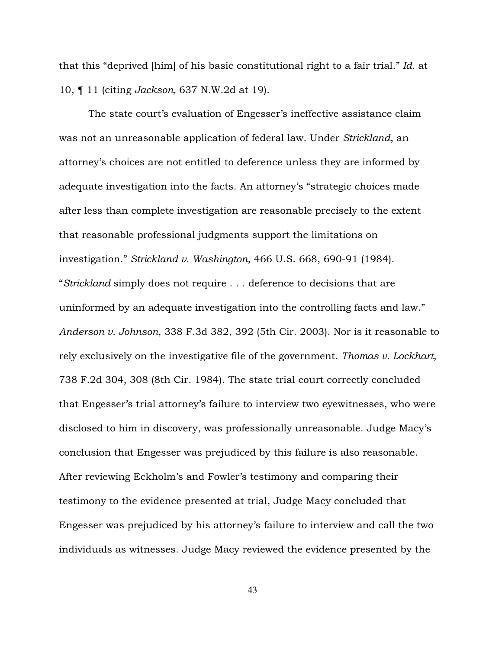that this "deprived [him] of his basic constitutional right to a fair trial." *Id.* at 10, ¶ 11 (citing *Jackson,* 637 N.W.2d at 19).

The state court's evaluation of Engesser's ineffective assistance claim was not an unreasonable application of federal law. Under *Strickland*, an attorney's choices are not entitled to deference unless they are informed by adequate investigation into the facts. An attorney's "strategic choices made after less than complete investigation are reasonable precisely to the extent that reasonable professional judgments support the limitations on investigation." *Strickland v. Washington*, 466 U.S. 668, 690-91 (1984). "*Strickland* simply does not require . . . deference to decisions that are uninformed by an adequate investigation into the controlling facts and law." *Anderson v. Johnson*, 338 F.3d 382, 392 (5th Cir. 2003). Nor is it reasonable to rely exclusively on the investigative file of the government. *Thomas v. Lockhart*, 738 F.2d 304, 308 (8th Cir. 1984). The state trial court correctly concluded that Engesser's trial attorney's failure to interview two eyewitnesses, who were disclosed to him in discovery, was professionally unreasonable. Judge Macy's conclusion that Engesser was prejudiced by this failure is also reasonable. After reviewing Eckholm's and Fowler's testimony and comparing their testimony to the evidence presented at trial, Judge Macy concluded that Engesser was prejudiced by his attorney's failure to interview and call the two individuals as witnesses. Judge Macy reviewed the evidence presented by the